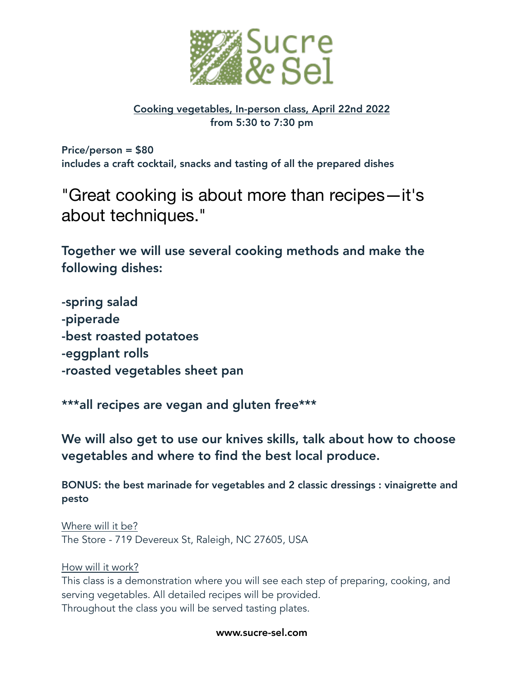

# Cooking vegetables, In-person class, April 22nd 2022 from 5:30 to 7:30 pm

Price/person = \$80 includes a craft cocktail, snacks and tasting of all the prepared dishes

"Great cooking is about more than recipes—it's about techniques."

Together we will use several cooking methods and make the following dishes:

-spring salad -piperade -best roasted potatoes -eggplant rolls -roasted vegetables sheet pan

\*\*\*all recipes are vegan and gluten free\*\*\*

We will also get to use our knives skills, talk about how to choose vegetables and where to find the best local produce.

BONUS: the best marinade for vegetables and 2 classic dressings : vinaigrette and pesto

Where will it be? The Store - 719 Devereux St, Raleigh, NC 27605, USA

How will it work?

This class is a demonstration where you will see each step of preparing, cooking, and serving vegetables. All detailed recipes will be provided. Throughout the class you will be served tasting plates.

www.sucre-sel.com